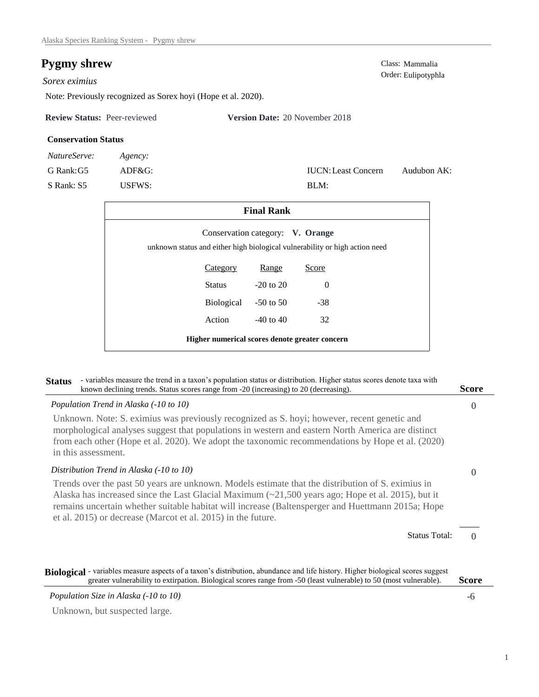# **Pygmy shrew** Class: Mammalia

## *Sorex eximius*

Note: Previously recognized as Sorex hoyi (Hope et al. 2020).

**Review Status:** Peer-reviewed **Version Date:** 20 November 2018

## **Conservation Status**

| NatureServe: | Agency:   |
|--------------|-----------|
| G Rank: G5   | $ADF&G$ : |
| S Rank: S5   | USEWS:    |

Order: Eulipotyphla

Audubon AK:

| <b>Final Rank</b>                                                                                               |                      |               |          |  |  |  |
|-----------------------------------------------------------------------------------------------------------------|----------------------|---------------|----------|--|--|--|
| Conservation category: V. Orange<br>unknown status and either high biological vulnerability or high action need |                      |               |          |  |  |  |
|                                                                                                                 | Category             | Range         | Score    |  |  |  |
|                                                                                                                 | <b>Status</b>        | $-20$ to $20$ | $\Omega$ |  |  |  |
|                                                                                                                 | Biological -50 to 50 |               | $-38$    |  |  |  |
|                                                                                                                 | Action               | $-40$ to $40$ | 32       |  |  |  |
| Higher numerical scores denote greater concern                                                                  |                      |               |          |  |  |  |

BLM:

IUCN:Least Concern

# $\theta$ 0 0 **Status** - variables measure the trend in a taxon's population status or distribution. Higher status scores denote taxa with known declining trends. Status scores range from -20 (increasing) to 20 (decreasing). **Score** Status Total: *Population Trend in Alaska (-10 to 10)* Unknown. Note: S. eximius was previously recognized as S. hoyi; however, recent genetic and morphological analyses suggest that populations in western and eastern North America are distinct from each other (Hope et al. 2020). We adopt the taxonomic recommendations by Hope et al. (2020) in this assessment. *Distribution Trend in Alaska (-10 to 10)* Trends over the past 50 years are unknown. Models estimate that the distribution of S. eximius in Alaska has increased since the Last Glacial Maximum (~21,500 years ago; Hope et al. 2015), but it remains uncertain whether suitable habitat will increase (Baltensperger and Huettmann 2015a; Hope et al. 2015) or decrease (Marcot et al. 2015) in the future. -6 **Biological** - variables measure aspects of a taxon's distribution, abundance and life history. Higher biological scores suggest *Population Size in Alaska (-10 to 10)* **Score** greater vulnerability to extirpation. Biological scores range from -50 (least vulnerable) to 50 (most vulnerable).

Unknown, but suspected large.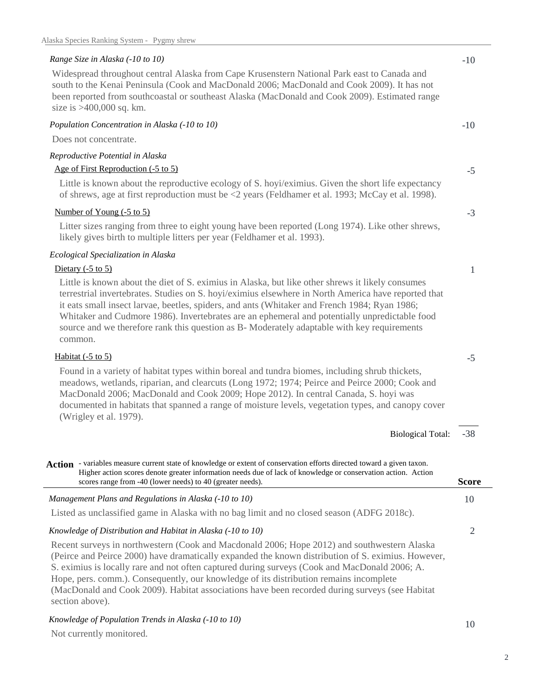## *Range Size in Alaska (-10 to 10)*

Widespread throughout central Alaska from Cape Krusenstern National Park east to Canada and south to the Kenai Peninsula (Cook and MacDonald 2006; MacDonald and Cook 2009). It has not been reported from southcoastal or southeast Alaska (MacDonald and Cook 2009). Estimated range size is >400,000 sq. km.

## *Population Concentration in Alaska (-10 to 10)*

Does not concentrate.

## *Reproductive Potential in Alaska*

## Age of First Reproduction (-5 to 5)

Little is known about the reproductive ecology of S. hoyi/eximius. Given the short life expectancy of shrews, age at first reproduction must be <2 years (Feldhamer et al. 1993; McCay et al. 1998).

#### Number of Young (-5 to 5)

Litter sizes ranging from three to eight young have been reported (Long 1974). Like other shrews, likely gives birth to multiple litters per year (Feldhamer et al. 1993).

## *Ecological Specialization in Alaska*

## Dietary (-5 to 5)

Little is known about the diet of S. eximius in Alaska, but like other shrews it likely consumes terrestrial invertebrates. Studies on S. hoyi/eximius elsewhere in North America have reported that it eats small insect larvae, beetles, spiders, and ants (Whitaker and French 1984; Ryan 1986; Whitaker and Cudmore 1986). Invertebrates are an ephemeral and potentially unpredictable food source and we therefore rank this question as B- Moderately adaptable with key requirements common.

## Habitat (-5 to 5)

Found in a variety of habitat types within boreal and tundra biomes, including shrub thickets, meadows, wetlands, riparian, and clearcuts (Long 1972; 1974; Peirce and Peirce 2000; Cook and MacDonald 2006; MacDonald and Cook 2009; Hope 2012). In central Canada, S. hoyi was documented in habitats that spanned a range of moisture levels, vegetation types, and canopy cover (Wrigley et al. 1979).

> -38 Biological Total:

10 *Management Plans and Regulations in Alaska (-10 to 10)* Action - variables measure current state of knowledge or extent of conservation efforts directed toward a given taxon. **Score** Higher action scores denote greater information needs due of lack of knowledge or conservation action. Action scores range from -40 (lower needs) to 40 (greater needs).

Listed as unclassified game in Alaska with no bag limit and no closed season (ADFG 2018c).

## *Knowledge of Distribution and Habitat in Alaska (-10 to 10)*

Recent surveys in northwestern (Cook and Macdonald 2006; Hope 2012) and southwestern Alaska (Peirce and Peirce 2000) have dramatically expanded the known distribution of S. eximius. However, S. eximius is locally rare and not often captured during surveys (Cook and MacDonald 2006; A. Hope, pers. comm.). Consequently, our knowledge of its distribution remains incomplete (MacDonald and Cook 2009). Habitat associations have been recorded during surveys (see Habitat section above).

## *Knowledge of Population Trends in Alaska (-10 to 10)*

Not currently monitored.

| ۰.<br>۰. |  |
|----------|--|

2

2

#### -10

-10

-5

-3

1

-5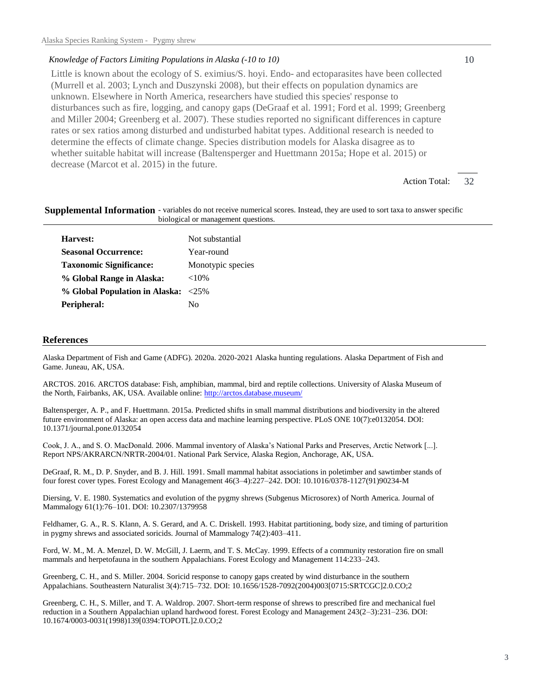#### *Knowledge of Factors Limiting Populations in Alaska (-10 to 10)*

Little is known about the ecology of S. eximius/S. hoyi. Endo- and ectoparasites have been collected (Murrell et al. 2003; Lynch and Duszynski 2008), but their effects on population dynamics are unknown. Elsewhere in North America, researchers have studied this species' response to disturbances such as fire, logging, and canopy gaps (DeGraaf et al. 1991; Ford et al. 1999; Greenberg and Miller 2004; Greenberg et al. 2007). These studies reported no significant differences in capture rates or sex ratios among disturbed and undisturbed habitat types. Additional research is needed to determine the effects of climate change. Species distribution models for Alaska disagree as to whether suitable habitat will increase (Baltensperger and Huettmann 2015a; Hope et al. 2015) or decrease (Marcot et al. 2015) in the future.

> 32 Action Total:

10

#### Supplemental Information - variables do not receive numerical scores. Instead, they are used to sort taxa to answer specific biological or management questions.

| Harvest:                            | Not substantial   |
|-------------------------------------|-------------------|
| <b>Seasonal Occurrence:</b>         | Year-round        |
| <b>Taxonomic Significance:</b>      | Monotypic species |
| % Global Range in Alaska:           | ${<}10\%$         |
| % Global Population in Alaska: <25% |                   |
| Peripheral:                         | Nο                |

#### **References**

Alaska Department of Fish and Game (ADFG). 2020a. 2020-2021 Alaska hunting regulations. Alaska Department of Fish and Game. Juneau, AK, USA.

ARCTOS. 2016. ARCTOS database: Fish, amphibian, mammal, bird and reptile collections. University of Alaska Museum of the North, Fairbanks, AK, USA. Available online: http://arctos.database.museum/

Baltensperger, A. P., and F. Huettmann. 2015a. Predicted shifts in small mammal distributions and biodiversity in the altered future environment of Alaska: an open access data and machine learning perspective. PLoS ONE 10(7):e0132054. DOI: 10.1371/journal.pone.0132054

Cook, J. A., and S. O. MacDonald. 2006. Mammal inventory of Alaska's National Parks and Preserves, Arctic Network [...]. Report NPS/AKRARCN/NRTR-2004/01. National Park Service, Alaska Region, Anchorage, AK, USA.

DeGraaf, R. M., D. P. Snyder, and B. J. Hill. 1991. Small mammal habitat associations in poletimber and sawtimber stands of four forest cover types. Forest Ecology and Management 46(3–4):227–242. DOI: 10.1016/0378-1127(91)90234-M

Diersing, V. E. 1980. Systematics and evolution of the pygmy shrews (Subgenus Microsorex) of North America. Journal of Mammalogy 61(1):76–101. DOI: 10.2307/1379958

Feldhamer, G. A., R. S. Klann, A. S. Gerard, and A. C. Driskell. 1993. Habitat partitioning, body size, and timing of parturition in pygmy shrews and associated soricids. Journal of Mammalogy 74(2):403–411.

Ford, W. M., M. A. Menzel, D. W. McGill, J. Laerm, and T. S. McCay. 1999. Effects of a community restoration fire on small mammals and herpetofauna in the southern Appalachians. Forest Ecology and Management 114:233–243.

Greenberg, C. H., and S. Miller. 2004. Soricid response to canopy gaps created by wind disturbance in the southern Appalachians. Southeastern Naturalist 3(4):715–732. DOI: 10.1656/1528-7092(2004)003[0715:SRTCGC]2.0.CO;2

Greenberg, C. H., S. Miller, and T. A. Waldrop. 2007. Short-term response of shrews to prescribed fire and mechanical fuel reduction in a Southern Appalachian upland hardwood forest. Forest Ecology and Management 243(2–3):231–236. DOI: 10.1674/0003-0031(1998)139[0394:TOPOTL]2.0.CO;2

3